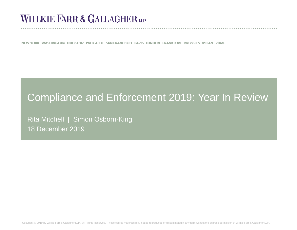# **WILLKIE FARR & GALLAGHERUP**

NEW YORK WASHINGTON HOUSTON PALO ALTO SAN FRANCISCO PARIS LONDON FRANKFURT BRUSSELS MILAN ROME

## Compliance and Enforcement 2019: Year In Review

Rita Mitchell | Simon Osborn-King 18 December 2019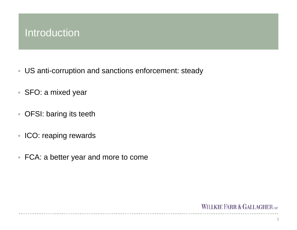### Introduction

- US anti-corruption and sanctions enforcement: steady
- SFO: a mixed year
- OFSI: baring its teeth
- **ICO: reaping rewards**
- FCA: a better year and more to come

#### WILLKIE FARR & GALLAGHER LLP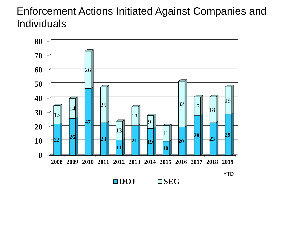# Enforcement Actions Initiated Against Companies and Individuals



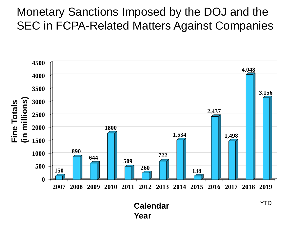# Monetary Sanctions Imposed by the DOJ and the SEC in FCPA-Related Matters Against Companies



**Year**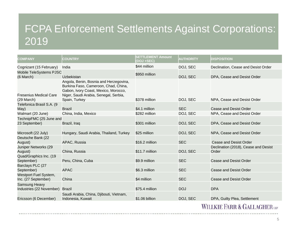# FCPA Enforcement Settlements Against Corporations: 2019

| <b>COMPANY</b>                                   | <b>COUNTRY</b>                                                                                                                                                                   | <b>SETTLEMENT Amount</b><br>(DOJ +SEC) | <b>AUTHORITY</b> | <b>DISPOSITION</b>                            |
|--------------------------------------------------|----------------------------------------------------------------------------------------------------------------------------------------------------------------------------------|----------------------------------------|------------------|-----------------------------------------------|
| Cognizant (15 February)                          | India                                                                                                                                                                            | \$44 million                           | DOJ, SEC         | Declination, Cease and Desist Order           |
| Mobile TeleSystems PJSC<br>(6 March)             | Uzbekistan                                                                                                                                                                       | \$950 million                          | DOJ, SEC         | DPA, Cease and Desist Order                   |
| <b>Fresenius Medical Care</b><br>(29 March)      | Angola, Benin, Bosnia and Herzegovina,<br>Burkina Faso, Cameroon, Chad, China,<br>Gabon, Ivory Coast, Mexico, Morocco,<br>Niger, Saudi Arabia, Senegal, Serbia,<br>Spain, Turkey | \$378 million                          | DOJ, SEC         | NPA, Cease and Desist Order                   |
| Telefonica Brasil S.A. (9                        |                                                                                                                                                                                  |                                        |                  |                                               |
| May)                                             | <b>Brazil</b>                                                                                                                                                                    | \$4.1 million                          | <b>SEC</b>       | Cease and Desist Order                        |
| Walmart (20 June)                                | China, India, Mexico                                                                                                                                                             | \$282 million                          | DOJ, SEC         | NPA, Cease and Desist Order                   |
| TechnipFMC (25 June and                          |                                                                                                                                                                                  |                                        |                  |                                               |
| 23 September)                                    | Brazil, Iraq                                                                                                                                                                     | \$301 million                          | DOJ, SEC         | DPA, Cease and Desist Order                   |
|                                                  |                                                                                                                                                                                  |                                        |                  |                                               |
| Microsoft (22 July)                              | Hungary, Saudi Arabia, Thailand, Turkey                                                                                                                                          | \$25 million                           | DOJ, SEC         | NPA, Cease and Desist Order                   |
| Deutsche Bank (22                                |                                                                                                                                                                                  |                                        |                  |                                               |
| August)                                          | APAC, Russia                                                                                                                                                                     | \$16.2 million                         | <b>SEC</b>       | <b>Cease and Desist Order</b>                 |
| Juniper Networks (29<br>August)                  | China, Russia                                                                                                                                                                    | \$11.7 million                         | DOJ, SEC         | Declination (2018), Cease and Desist<br>Order |
| Quad/Graphics Inc. (19<br>September)             | Peru, China, Cuba                                                                                                                                                                | \$9.9 million                          | <b>SEC</b>       | <b>Cease and Desist Order</b>                 |
| Barclays PLC (27<br>September)                   | <b>APAC</b>                                                                                                                                                                      | \$6.3 million                          | <b>SEC</b>       | Cease and Desist Order                        |
| Westport Fuel System,<br>Inc. (27 September)     | China                                                                                                                                                                            | \$4 million                            | <b>SEC</b>       | <b>Cease and Desist Order</b>                 |
| <b>Samsung Heavy</b><br>Industries (22 November) | <b>Brazil</b>                                                                                                                                                                    | \$75.4 million                         | <b>DOJ</b>       | <b>DPA</b>                                    |
| Ericsson (6 December)                            | Saudi Arabia, China, Djibouti, Vietnam,<br>Indonesia, Kuwait                                                                                                                     | \$1.06 billion                         | DOJ, SEC         | DPA, Guilty Plea, Settlement                  |

WILLKIE FARR & GALLAGHER LLP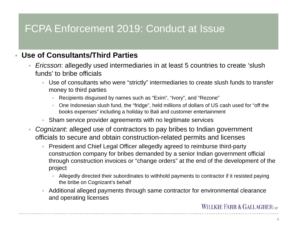### **Use of Consultants/Third Parties**

- $\mathcal{L}_{\mathcal{A}}$  *Ericsson*: allegedly used intermediaries in at least 5 countries to create 'slush funds' to bribe officials
	- Use of consultants who were "strictly" intermediaries to create slush funds to transfer money to third parties
		- Recipients disguised by names such as "Exim", "Ivory", and "Rezone"
		- a. One Indonesian slush fund, the "fridge", held millions of dollars of US cash used for "off the books expenses" including a holiday to Bali and customer entertainment
	- Sham service provider agreements with no legitimate services
- ×. *Cognizant*: alleged use of contractors to pay bribes to Indian government officials to secure and obtain construction-related permits and licenses
	- President and Chief Legal Officer allegedly agreed to reimburse third-party construction company for bribes demanded by a senior Indian government official through construction invoices or "change orders" at the end of the development of the project
		- a. Allegedly directed their subordinates to withhold payments to contractor if it resisted paying the bribe on Cognizant's behalf
	- Additional alleged payments through same contractor for environmental clearance and operating licenses

**WILLKIE FARR & GALLAGHER**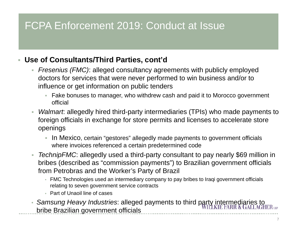### **Use of Consultants/Third Parties, cont'd**

- *Fresenius (FMC)*: alleged consultancy agreements with publicly employed doctors for services that were never performed to win business and/or to influence or get information on public tenders
	- Fake bonuses to manager, who withdrew cash and paid it to Morocco government official
- *Walmart*: allegedly hired third-party intermediaries (TPIs) who made payments to foreign officials in exchange for store permits and licenses to accelerate store openings
	- $\mathcal{L}$  In Mexico, certain "gestores" allegedly made payments to government officials where invoices referenced a certain predetermined code
- *TechnipFMC*: allegedly used a third-party consultant to pay nearly \$69 million in bribes (described as "commission payments") to Brazilian government officials from Petrobras and the Worker's Party of Brazil
	- FMC Technologies used an intermediary company to pay bribes to Iraqi government officials relating to seven government service contracts
	- Part of Unaoil line of cases
- *Samsung Heavy Industries*: alleged payments to third party intermediaries to bribe Brazilian government officials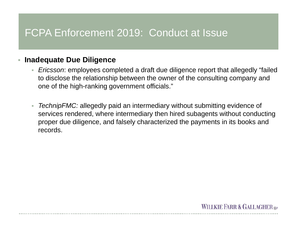#### $\overline{\phantom{a}}$ **Inadequate Due Diligence**

- *Ericsson*: employees completed a draft due diligence report that allegedly "failed to disclose the relationship between the owner of the consulting company and one of the high-ranking government officials."
- *TechnipFMC:* allegedly paid an intermediary without submitting evidence of services rendered, where intermediary then hired subagents without conducting proper due diligence, and falsely characterized the payments in its books and records.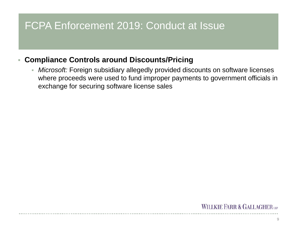#### $\overline{\phantom{a}}$ **Compliance Controls around Discounts/Pricing**

×. *Microsoft:* Foreign subsidiary allegedly provided discounts on software licenses where proceeds were used to fund improper payments to government officials in exchange for securing software license sales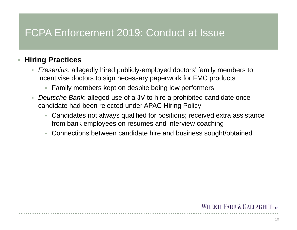### **Hiring Practices**

- *Fresenius*: allegedly hired publicly-employed doctors' family members to incentivise doctors to sign necessary paperwork for FMC products
	- Family members kept on despite being low performers
- *Deutsche Bank*: alleged use of a JV to hire a prohibited candidate once candidate had been rejected under APAC Hiring Policy
	- Candidates not always qualified for positions; received extra assistance from bank employees on resumes and interview coaching
	- Connections between candidate hire and business sought/obtained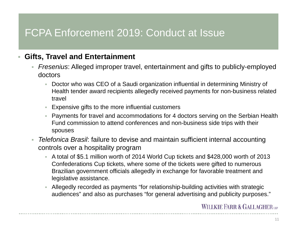#### ш **Gifts, Travel and Entertainment**

- *Fresenius*: Alleged improper travel, entertainment and gifts to publicly-employed doctors
	- $\mathcal{L}_{\rm{c}}$  Doctor who was CEO of a Saudi organization influential in determining Ministry of Health tender award recipients allegedly received payments for non-business related travel
	- $\overline{\phantom{a}}$  Expensive gifts to the more influential customers
	- Payments for travel and accommodations for 4 doctors serving on the Serbian Health Fund commission to attend conferences and non-business side trips with their spouses
- *Telefonica Brasil*: failure to devise and maintain sufficient internal accounting controls over a hospitality program
	- A total of \$5.1 million worth of 2014 World Cup tickets and \$428,000 worth of 2013 Confederations Cup tickets, where some of the tickets were gifted to numerous Brazilian government officials allegedly in exchange for favorable treatment and legislative assistance.
	- ×. Allegedly recorded as payments "for relationship-building activities with strategic audiences" and also as purchases "for general advertising and publicity purposes."

### **WILLKIE FARR & GALLAGHERUP**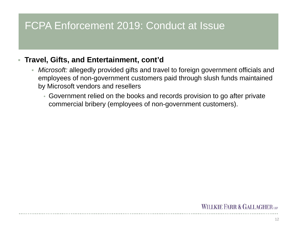### **Travel, Gifts, and Entertainment, cont'd**

- a. *Microsoft:* allegedly provided gifts and travel to foreign government officials and employees of non-government customers paid through slush funds maintained by Microsoft vendors and resellers
	- Government relied on the books and records provision to go after private commercial bribery (employees of non-government customers).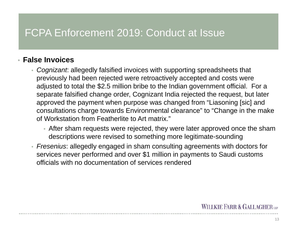#### • **False Invoices**

- *Cognizant*: allegedly falsified invoices with supporting spreadsheets that previously had been rejected were retroactively accepted and costs were adjusted to total the \$2.5 million bribe to the Indian government official. For a separate falsified change order, Cognizant India rejected the request, but later approved the payment when purpose was changed from "Liasoning [sic] and consultations charge towards Environmental clearance" to "Change in the make of Workstation from Featherlite to Art matrix."
	- After sham requests were rejected, they were later approved once the sham descriptions were revised to something more legitimate-sounding
- *Fresenius*: allegedly engaged in sham consulting agreements with doctors for services never performed and over \$1 million in payments to Saudi customs officials with no documentation of services rendered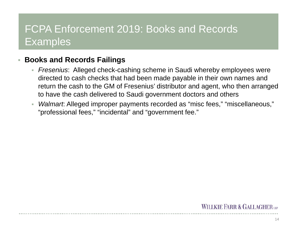# FCPA Enforcement 2019: Books and Records **Examples**

#### $\overline{\phantom{a}}$ **Books and Records Failings**

- *Fresenius*: Alleged check-cashing scheme in Saudi whereby employees were directed to cash checks that had been made payable in their own names and return the cash to the GM of Fresenius' distributor and agent, who then arranged to have the cash delivered to Saudi government doctors and others
- *Walmart*: Alleged improper payments recorded as "misc fees," "miscellaneous," "professional fees," "incidental" and "government fee."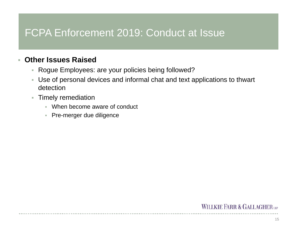#### T. **Other Issues Raised**

- Rogue Employees: are your policies being followed?
- a. Use of personal devices and informal chat and text applications to thwart detection
- **Timely remediation** 
	- When become aware of conduct
	- Pre-merger due diligence

### **WILLKIE FARR & GALLAGHERUP**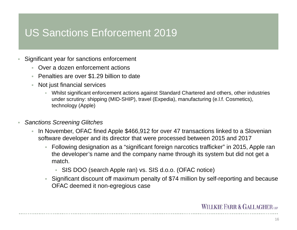## US Sanctions Enforcement 2019

- П Significant year for sanctions enforcement
	- Over a dozen enforcement actions
	- **Penalties are over \$1.29 billion to date**
	- a. Not just financial services
		- ×. Whilst significant enforcement actions against Standard Chartered and others, other industries under scrutiny: shipping (MID-SHIP), travel (Expedia), manufacturing (e.l.f. Cosmetics), technology (Apple)
- × *Sanctions Screening Glitches*
	- a. In November, OFAC fined Apple \$466,912 for over 47 transactions linked to a Slovenian software developer and its director that were processed between 2015 and 2017
		- Following designation as a "significant foreign narcotics trafficker" in 2015, Apple ran the developer's name and the company name through its system but did not get a match.
			- SIS DOO (search Apple ran) vs. SIS d.o.o. (OFAC notice)
		- Significant discount off maximum penalty of \$74 million by self-reporting and because OFAC deemed it non-egregious case

#### **WILLKIE FARR & GALLAGHERUP**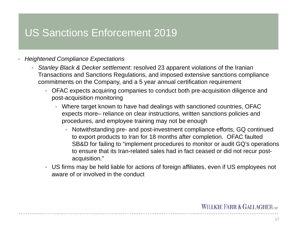### US Sanctions Enforcement 2019

#### П *Heightened Compliance Expectations*

- *Stanley Black & Decker settlement*: resolved 23 apparent violations of the Iranian Transactions and Sanctions Regulations, and imposed extensive sanctions compliance commitments on the Company, and a 5 year annual certification requirement
	- OFAC expects acquiring companies to conduct both pre-acquisition diligence and post-acquisition monitoring
		- a. Where target known to have had dealings with sanctioned countries, OFAC expects more– reliance on clear instructions, written sanctions policies and procedures, and employee training may not be enough
			- ×. Notwithstanding pre- and post-investment compliance efforts, GQ continued to export products to Iran for 18 months after completion. OFAC faulted SB&D for failing to "implement procedures to monitor or audit GQ's operations to ensure that its Iran-related sales had in fact ceased or did not recur postacquisition."
	- ×. US firms may be held liable for actions of foreign affiliates, even if US employees not aware of or involved in the conduct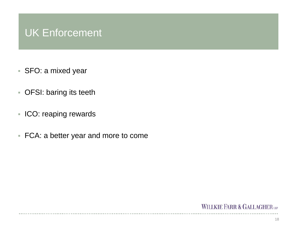## UK Enforcement

- SFO: a mixed year
- OFSI: baring its teeth
- **ICO: reaping rewards**
- FCA: a better year and more to come

### WILLKIE FARR & GALLAGHER LLP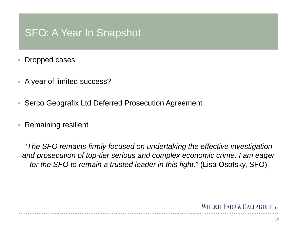## SFO: A Year In Snapshot

- T. Dropped cases
- A year of limited success?
- T. Serco Geografix Ltd Deferred Prosecution Agreement
- $\overline{\phantom{a}}$ Remaining resilient

"*The SFO remains firmly focused on undertaking the effective investigation and prosecution of top-tier serious and complex economic crime. I am eager for the SFO to remain a trusted leader in this fight*." (Lisa Osofsky, SFO)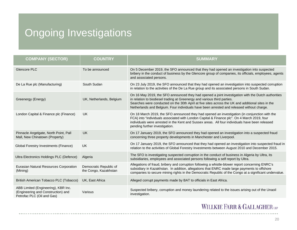# Ongoing Investigations

| <b>COMPANY (SECTOR)</b>                                                                                 | <b>COUNTRY</b>                                  | <b>SUMMARY</b>                                                                                                                                                                                                                                                                                                                                                                   |
|---------------------------------------------------------------------------------------------------------|-------------------------------------------------|----------------------------------------------------------------------------------------------------------------------------------------------------------------------------------------------------------------------------------------------------------------------------------------------------------------------------------------------------------------------------------|
| <b>Glencore PLC</b>                                                                                     | To be announced                                 | On 5 December 2019, the SFO announced that they had opened an investigation into suspected<br>bribery in the conduct of business by the Glencore group of companies, its officials, employees, agents<br>and associated persons.                                                                                                                                                 |
| De La Rue plc (Manufacturing)                                                                           | South Sudan                                     | On 23 July 2019, the SFO announced that they had opened an investigation into suspected corruption<br>in relation to the activities of the De La Rue group and its associated persons in South Sudan.                                                                                                                                                                            |
| Greenergy (Energy)                                                                                      | UK, Netherlands, Belgium                        | On 16 May 2019, the SFO announced they had opened a joint investigation with the Dutch authorities<br>in relation to biodiesel trading at Greenergy and various third parties.<br>Searches were conducted on the 30th April at five sites across the UK and additional sites in the<br>Netherlands and Belgium. Four individuals have been arrested and released without charge. |
| London Capital & Finance plc (Finance)                                                                  | <b>UK</b>                                       | On 18 March 2019, the SFO announced they had opened an investigation (in conjunction with the<br>FCA) into "individuals associated with London Capital & Finance plc". On 4 March 2019, four<br>individuals were arrested in the Kent and Sussex areas. All four individuals have been released<br>pending further investigation.                                                |
| Pinnacle Angelgate, North Point, Pall<br>Mall, New Chinatown (Property)                                 | <b>UK</b>                                       | On 17 January 2019, the SFO announced they had opened an investigation into a suspected fraud<br>concerning three property developments in Manchester and Liverpool.                                                                                                                                                                                                             |
| Global Forestry Investments (Finance)                                                                   | <b>UK</b>                                       | On 17 January 2019, the SFO announced that they had opened an investigation into suspected fraud in<br>relation to the activities of Global Forestry Investments between August 2010 and December 2015.                                                                                                                                                                          |
| Ultra Electronics Holdings PLC (Defence)                                                                | Algeria                                         | The SFO is investigating suspected corruption in the conduct of business in Algeria by Ultra, its<br>subsidiaries, employees and associated persons following a self report by Ultra.                                                                                                                                                                                            |
| Eurasian Natural Resources Corporation<br>(Mining)                                                      | Democratic Republic of<br>the Congo, Kazakhstan | Allegations of fraud, bribery and corruption following a whistle-blower report concerning ENRC's<br>subsidiary in Kazakhstan. In addition, allegations that ENRC made large payments to offshore<br>companies to secure mining rights in the Democratic Republic of the Congo at a significant undervalue.                                                                       |
| British American Tobacco PLC (Tobacco)                                                                  | UK, East Africa                                 | Alleged corrupt payments made by BAT to officials in East Africa.                                                                                                                                                                                                                                                                                                                |
| ABB Limited (Engineering), KBR Inc.<br>(Engineering and Construction) and<br>Petrofac PLC (Oil and Gas) | Various                                         | Suspected bribery, corruption and money laundering related to the issues arising out of the Unaoil<br>investigation.                                                                                                                                                                                                                                                             |

### WILLKIE FARR & GALLAGHER LLP

 $\sim 10$ 20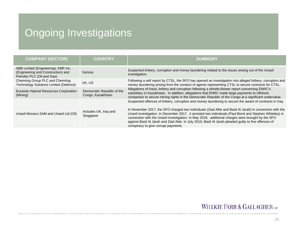# Ongoing Investigations

| <b>COMPANY (SECTOR)</b>                                                                                 | <b>COUNTRY</b>                                  | <b>SUMMARY</b>                                                                                                                                                                                                                                                                                                                                                                                                                                                                                                                                                                       |
|---------------------------------------------------------------------------------------------------------|-------------------------------------------------|--------------------------------------------------------------------------------------------------------------------------------------------------------------------------------------------------------------------------------------------------------------------------------------------------------------------------------------------------------------------------------------------------------------------------------------------------------------------------------------------------------------------------------------------------------------------------------------|
| ABB Limited (Engineering), KBR Inc.<br>(Engineering and Construction) and<br>Petrofac PLC (Oil and Gas) | Various                                         | Suspected bribery, corruption and money laundering related to the issues arising out of the Unaoil<br>investigation.                                                                                                                                                                                                                                                                                                                                                                                                                                                                 |
| Chemring Group PLC and Chemring<br><b>Technology Solutions Limited (Defence)</b>                        | UK, US                                          | Following a self report by CTSL, the SFO has opened an investigation into alleged bribery, corruption and<br>money laundering arising from the conduct of agents representing CTSL to secure contracts for CTSL.                                                                                                                                                                                                                                                                                                                                                                     |
| Eurasian Natural Resources Corporation<br>(Mining)                                                      | Democratic Republic of the<br>Congo, Kazakhstan | Allegations of fraud, bribery and corruption following a whistle-blower report concerning ENRC's<br>subsidiary in Kazakhstan. In addition, allegations that ENRC made large payments to offshore<br>companies to secure mining rights in the Democratic Republic of the Congo at a significant undervalue.                                                                                                                                                                                                                                                                           |
| Unaoil Monaco SAM and Unaoil Ltd (Oil)                                                                  | Includes UK, Iraq and<br>Singapore              | Suspected offences of bribery, corruption and money laundering to secure the award of contracts in Iraq.<br>In November 2017, the SFO charged two individuals (Ziad Akle and Basil Al Jarah) in connection with the<br>Unaoil investigation. In December 2017, it arrested two individuals (Paul Bond and Stephen Whiteley) in<br>connection with the Unaoil investigation. In May 2018, additional charges were brought by the SFO<br>against Basil Al Jarah and Ziad Akle. In July 2019, Basil Al Jarah pleaded guilty to five offences of<br>conspiracy to give corrupt payments. |

### WILLKIE FARR & GALLAGHER LLP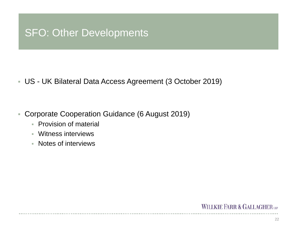### SFO: Other Developments

US - UK Bilateral Data Access Agreement (3 October 2019)

- $\overline{\phantom{a}}$  Corporate Cooperation Guidance (6 August 2019)
	- **Provision of material**
	- Witness interviews
	- Notes of interviews

#### **WILLKIE FARR & GALLAGHERUP**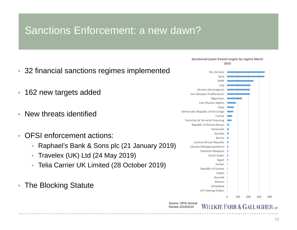# Sanctions Enforcement: a new dawn?

- 32 financial sanctions regimes implemented
- $\overline{\phantom{a}}$ 162 new targets added
- T. New threats identified
- $\mathcal{C}$  OFSI enforcement actions:
	- ×. Raphael's Bank & Sons plc (21 January 2019)
	- H. Travelex (UK) Ltd (24 May 2019)
	- $\mathcal{L}_{\mathcal{A}}$ Telia Carrier UK Limited (28 October 2019)
- T. The Blocking Statute

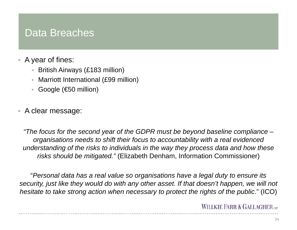### Data Breaches

- $\overline{\phantom{a}}$  A year of fines:
	- British Airways (£183 million)
	- Marriott International (£99 million)
	- Google (€50 million)
- A clear message:

*"The focus for the second year of the GDPR must be beyond baseline compliance – organisations needs to shift their focus to accountability with a real evidenced understanding of the risks to individuals in the way they process data and how these risks should be mitigated."* (Elizabeth Denham, Information Commissioner)

"*Personal data has a real value so organisations have a legal duty to ensure its security, just like they would do with any other asset. If that doesn't happen, we will not hesitate to take strong action when necessary to protect the rights of the public*." (ICO)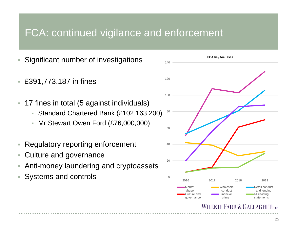### FCA: continued vigilance and enforcement

- ×. Significant number of investigations
- T. £391,773,187 in fines
- T. 17 fines in total (5 against individuals)
	- a. Standard Chartered Bank (£102,163,200)
	- a. Mr Stewart Owen Ford (£76,000,000)
- $\overline{\phantom{a}}$ Regulatory reporting enforcement
- T. Culture and governance
- ×, Anti-money laundering and cryptoassets
- r. Systems and controls



#### WILLKIE FARR & GALLAGHE